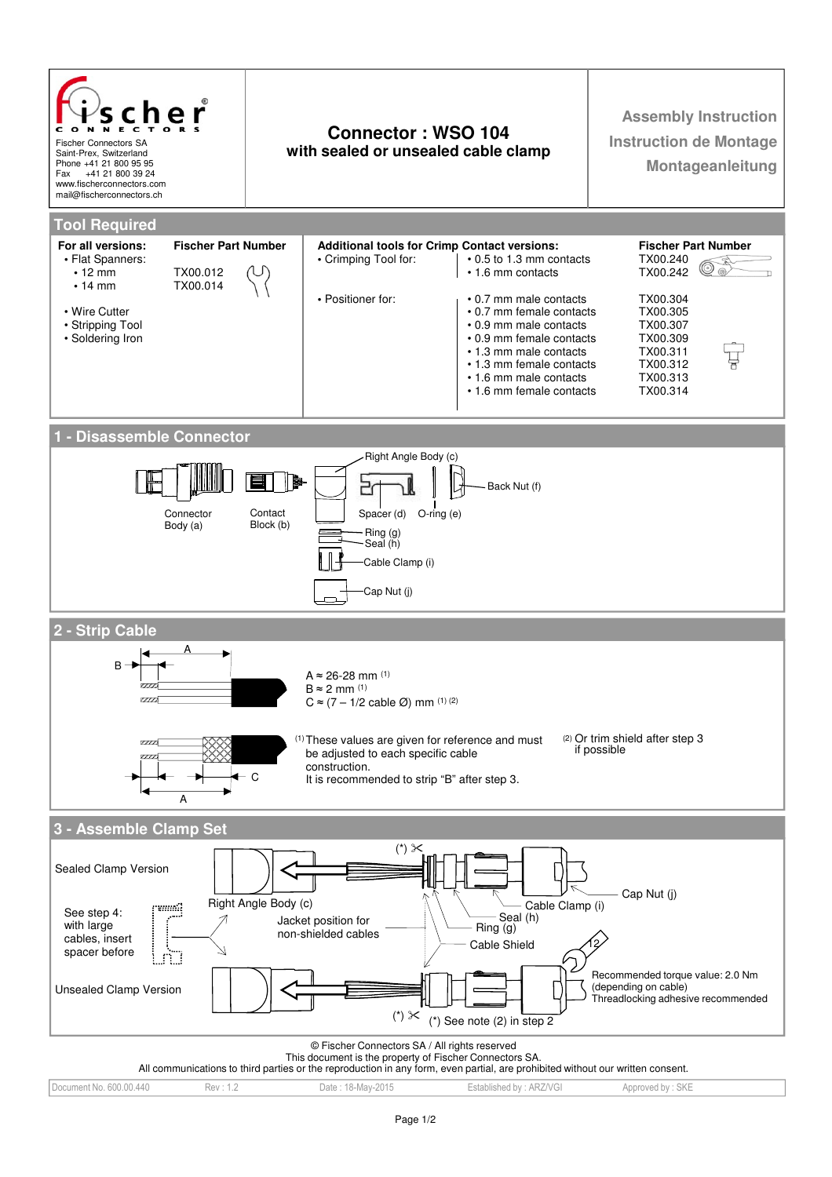